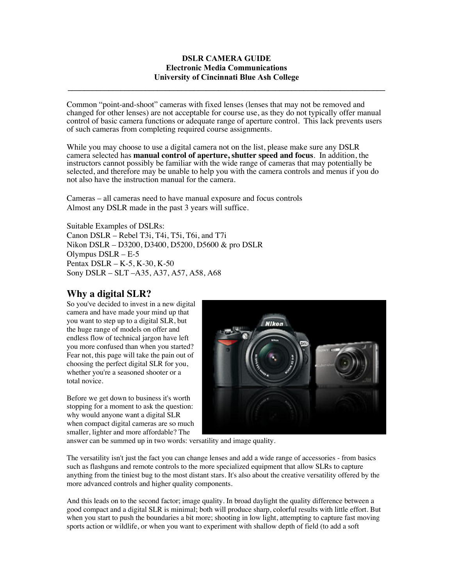## **DSLR CAMERA GUIDE Electronic Media Communications University of Cincinnati Blue Ash College**

**\_\_\_\_\_\_\_\_\_\_\_\_\_\_\_\_\_\_\_\_\_\_\_\_\_\_\_\_\_\_\_\_\_\_\_\_\_\_\_\_\_\_\_\_\_\_\_\_\_\_\_\_\_\_\_\_\_\_\_\_\_\_\_\_\_\_\_\_\_\_\_\_\_\_\_\_\_\_**

Common "point-and-shoot" cameras with fixed lenses (lenses that may not be removed and changed for other lenses) are not acceptable for course use, as they do not typically offer manual control of basic camera functions or adequate range of aperture control. This lack prevents users of such cameras from completing required course assignments.

While you may choose to use a digital camera not on the list, please make sure any DSLR camera selected has **manual control of aperture, shutter speed and focus**. In addition, the instructors cannot possibly be familiar with the wide range of cameras that may potentially be selected, and therefore may be unable to help you with the camera controls and menus if you do not also have the instruction manual for the camera.

Cameras – all cameras need to have manual exposure and focus controls Almost any DSLR made in the past 3 years will suffice.

Suitable Examples of DSLRs: Canon DSLR – Rebel T3i, T4i, T5i, T6i, and T7i Nikon DSLR – D3200, D3400, D5200, D5600 & pro DSLR Olympus DSLR – E-5 Pentax DSLR – K-5, K-30, K-50 Sony DSLR – SLT –A35, A37, A57, A58, A68

# **Why a digital SLR?**

So you've decided to invest in a new digital camera and have made your mind up that you want to step up to a digital SLR, but the huge range of models on offer and endless flow of technical jargon have left you more confused than when you started? Fear not, this page will take the pain out of choosing the perfect digital SLR for you, whether you're a seasoned shooter or a total novice.

Before we get down to business it's worth stopping for a moment to ask the question: why would anyone want a digital SLR when compact digital cameras are so much smaller, lighter and more affordable? The



answer can be summed up in two words: versatility and image quality.

The versatility isn't just the fact you can change lenses and add a wide range of accessories - from basics such as flashguns and remote controls to the more specialized equipment that allow SLRs to capture anything from the tiniest bug to the most distant stars. It's also about the creative versatility offered by the more advanced controls and higher quality components.

And this leads on to the second factor; image quality. In broad daylight the quality difference between a good compact and a digital SLR is minimal; both will produce sharp, colorful results with little effort. But when you start to push the boundaries a bit more; shooting in low light, attempting to capture fast moving sports action or wildlife, or when you want to experiment with shallow depth of field (to add a soft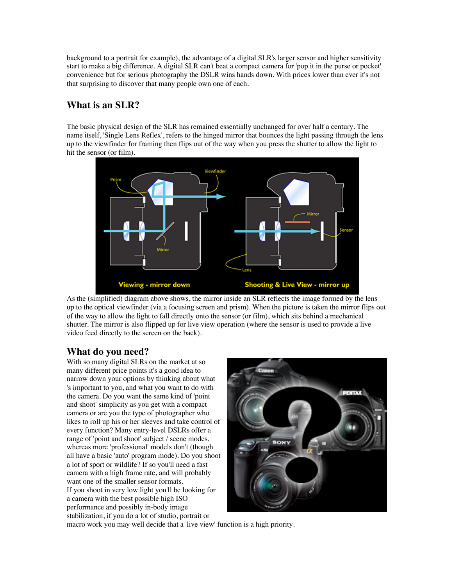background to a portrait for example), the advantage of a digital SLR's larger sensor and higher sensitivity start to make a big difference. A digital SLR can't beat a compact camera for 'pop it in the purse or pocket' convenience but for serious photography the DSLR wins hands down. With prices lower than ever it's not that surprising to discover that many people own one of each.

# **What is an SLR?**

The basic physical design of the SLR has remained essentially unchanged for over half a century. The name itself, 'Single Lens Reflex', refers to the hinged mirror that bounces the light passing through the lens up to the viewfinder for framing then flips out of the way when you press the shutter to allow the light to hit the sensor (or film).



As the (simplified) diagram above shows, the mirror inside an SLR reflects the image formed by the lens up to the optical viewfinder (via a focusing screen and prism). When the picture is taken the mirror flips out of the way to allow the light to fall directly onto the sensor (or film), which sits behind a mechanical shutter. The mirror is also flipped up for live view operation (where the sensor is used to provide a live video feed directly to the screen on the back).

## **What do you need?**

With so many digital SLRs on the market at so many different price points it's a good idea to narrow down your options by thinking about what 's important to you, and what you want to do with the camera. Do you want the same kind of 'point and shoot' simplicity as you get with a compact camera or are you the type of photographer who likes to roll up his or her sleeves and take control of every function? Many entry-level DSLRs offer a range of 'point and shoot' subject / scene modes, whereas more 'professional' models don't (though all have a basic 'auto' program mode). Do you shoot a lot of sport or wildlife? If so you'll need a fast camera with a high frame rate, and will probably want one of the smaller sensor formats. If you shoot in very low light you'll be looking for a camera with the best possible high ISO performance and possibly in-body image stabilization, if you do a lot of studio, portrait or



macro work you may well decide that a 'live view' function is a high priority.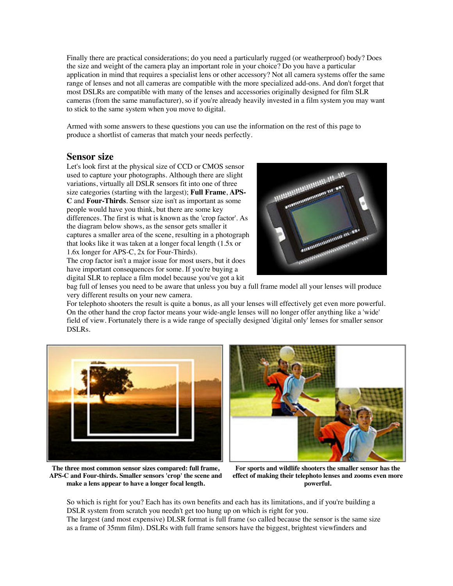Finally there are practical considerations; do you need a particularly rugged (or weatherproof) body? Does the size and weight of the camera play an important role in your choice? Do you have a particular application in mind that requires a specialist lens or other accessory? Not all camera systems offer the same range of lenses and not all cameras are compatible with the more specialized add-ons. And don't forget that most DSLRs are compatible with many of the lenses and accessories originally designed for film SLR cameras (from the same manufacturer), so if you're already heavily invested in a film system you may want to stick to the same system when you move to digital.

Armed with some answers to these questions you can use the information on the rest of this page to produce a shortlist of cameras that match your needs perfectly.

### **Sensor size**

Let's look first at the physical size of CCD or CMOS sensor used to capture your photographs. Although there are slight variations, virtually all DSLR sensors fit into one of three size categories (starting with the largest); **Full Frame**, **APS-C** and **Four-Thirds**. Sensor size isn't as important as some people would have you think, but there are some key differences. The first is what is known as the 'crop factor'. As the diagram below shows, as the sensor gets smaller it captures a smaller area of the scene, resulting in a photograph that looks like it was taken at a longer focal length (1.5x or 1.6x longer for APS-C, 2x for Four-Thirds).

The crop factor isn't a major issue for most users, but it does have important consequences for some. If you're buying a digital SLR to replace a film model because you've got a kit



bag full of lenses you need to be aware that unless you buy a full frame model all your lenses will produce very different results on your new camera.

For telephoto shooters the result is quite a bonus, as all your lenses will effectively get even more powerful. On the other hand the crop factor means your wide-angle lenses will no longer offer anything like a 'wide' field of view. Fortunately there is a wide range of specially designed 'digital only' lenses for smaller sensor DSLRs.





**The three most common sensor sizes compared: full frame, APS-C and Four-thirds. Smaller sensors 'crop' the scene and make a lens appear to have a longer focal length.**

**For sports and wildlife shooters the smaller sensor has the effect of making their telephoto lenses and zooms even more powerful.** 

So which is right for you? Each has its own benefits and each has its limitations, and if you're building a DSLR system from scratch you needn't get too hung up on which is right for you. The largest (and most expensive) DLSR format is full frame (so called because the sensor is the same size as a frame of 35mm film). DSLRs with full frame sensors have the biggest, brightest viewfinders and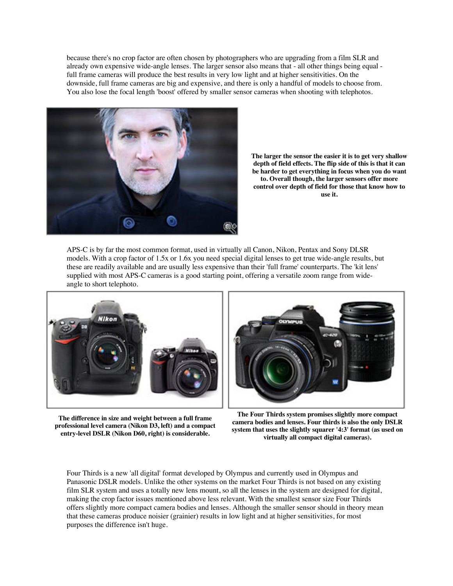because there's no crop factor are often chosen by photographers who are upgrading from a film SLR and already own expensive wide-angle lenses. The larger sensor also means that - all other things being equal full frame cameras will produce the best results in very low light and at higher sensitivities. On the downside, full frame cameras are big and expensive, and there is only a handful of models to choose from. You also lose the focal length 'boost' offered by smaller sensor cameras when shooting with telephotos.



**The larger the sensor the easier it is to get very shallow depth of field effects. The flip side of this is that it can be harder to get everything in focus when you do want to. Overall though, the larger sensors offer more control over depth of field for those that know how to use it.**

APS-C is by far the most common format, used in virtually all Canon, Nikon, Pentax and Sony DLSR models. With a crop factor of 1.5x or 1.6x you need special digital lenses to get true wide-angle results, but these are readily available and are usually less expensive than their 'full frame' counterparts. The 'kit lens' supplied with most APS-C cameras is a good starting point, offering a versatile zoom range from wideangle to short telephoto.







**The Four Thirds system promises slightly more compact camera bodies and lenses. Four thirds is also the only DSLR system that uses the slightly squarer '4:3' format (as used on virtually all compact digital cameras).**

Four Thirds is a new 'all digital' format developed by Olympus and currently used in Olympus and Panasonic DSLR models. Unlike the other systems on the market Four Thirds is not based on any existing film SLR system and uses a totally new lens mount, so all the lenses in the system are designed for digital, making the crop factor issues mentioned above less relevant. With the smallest sensor size Four Thirds offers slightly more compact camera bodies and lenses. Although the smaller sensor should in theory mean that these cameras produce noisier (grainier) results in low light and at higher sensitivities, for most purposes the difference isn't huge.